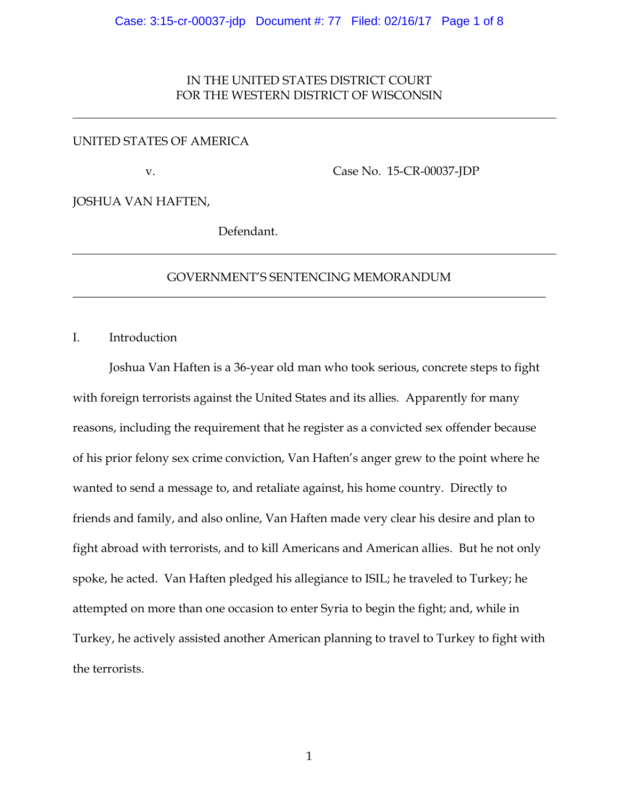## IN THE UNITED STATES DISTRICT COURT FOR THE WESTERN DISTRICT OF WISCONSIN

## UNITED STATES OF AMERICA

v.

Case No. 15-CR-00037-JDP

JOSHUA VAN HAFTEN,

Defendant.

# GOVERNMENT'S SENTENCING MEMORANDUM \_\_\_\_\_\_\_\_\_\_\_\_\_\_\_\_\_\_\_\_\_\_\_\_\_\_\_\_\_\_\_\_\_\_\_\_\_\_\_\_\_\_\_\_\_\_\_\_\_\_\_\_\_\_\_\_\_\_\_\_\_\_\_\_\_\_\_\_\_\_\_\_\_\_\_\_\_\_

I. Introduction

Joshua Van Haften is a 36-year old man who took serious, concrete steps to fight with foreign terrorists against the United States and its allies. Apparently for many reasons, including the requirement that he register as a convicted sex offender because of his prior felony sex crime conviction, Van Haften's anger grew to the point where he wanted to send a message to, and retaliate against, his home country. Directly to friends and family, and also online, Van Haften made very clear his desire and plan to fight abroad with terrorists, and to kill Americans and American allies. But he not only spoke, he acted. Van Haften pledged his allegiance to ISIL; he traveled to Turkey; he attempted on more than one occasion to enter Syria to begin the fight; and, while in Turkey, he actively assisted another American planning to travel to Turkey to fight with the terrorists.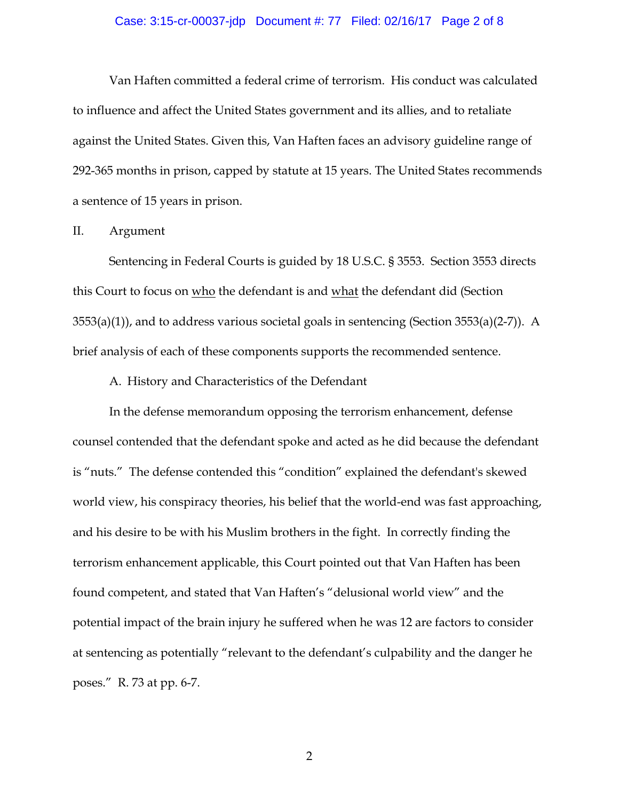#### Case: 3:15-cr-00037-jdp Document #: 77 Filed: 02/16/17 Page 2 of 8

Van Haften committed a federal crime of terrorism. His conduct was calculated to influence and affect the United States government and its allies, and to retaliate against the United States. Given this, Van Haften faces an advisory guideline range of 292-365 months in prison, capped by statute at 15 years. The United States recommends a sentence of 15 years in prison.

### II. Argument

Sentencing in Federal Courts is guided by 18 U.S.C. § 3553. Section 3553 directs this Court to focus on who the defendant is and what the defendant did (Section 3553(a)(1)), and to address various societal goals in sentencing (Section 3553(a)(2-7)). A brief analysis of each of these components supports the recommended sentence.

A. History and Characteristics of the Defendant

In the defense memorandum opposing the terrorism enhancement, defense counsel contended that the defendant spoke and acted as he did because the defendant is "nuts." The defense contended this "condition" explained the defendant's skewed world view, his conspiracy theories, his belief that the world-end was fast approaching, and his desire to be with his Muslim brothers in the fight. In correctly finding the terrorism enhancement applicable, this Court pointed out that Van Haften has been found competent, and stated that Van Haften's "delusional world view" and the potential impact of the brain injury he suffered when he was 12 are factors to consider at sentencing as potentially "relevant to the defendant's culpability and the danger he poses." R. 73 at pp. 6-7.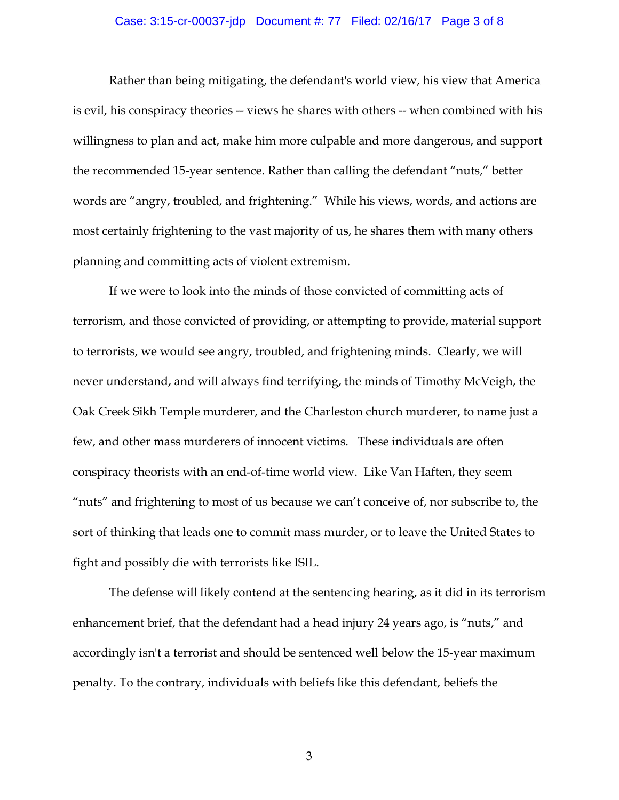#### Case: 3:15-cr-00037-jdp Document #: 77 Filed: 02/16/17 Page 3 of 8

Rather than being mitigating, the defendant's world view, his view that America is evil, his conspiracy theories -- views he shares with others -- when combined with his willingness to plan and act, make him more culpable and more dangerous, and support the recommended 15-year sentence. Rather than calling the defendant "nuts," better words are "angry, troubled, and frightening." While his views, words, and actions are most certainly frightening to the vast majority of us, he shares them with many others planning and committing acts of violent extremism.

If we were to look into the minds of those convicted of committing acts of terrorism, and those convicted of providing, or attempting to provide, material support to terrorists, we would see angry, troubled, and frightening minds. Clearly, we will never understand, and will always find terrifying, the minds of Timothy McVeigh, the Oak Creek Sikh Temple murderer, and the Charleston church murderer, to name just a few, and other mass murderers of innocent victims. These individuals are often conspiracy theorists with an end-of-time world view. Like Van Haften, they seem "nuts" and frightening to most of us because we can't conceive of, nor subscribe to, the sort of thinking that leads one to commit mass murder, or to leave the United States to fight and possibly die with terrorists like ISIL.

The defense will likely contend at the sentencing hearing, as it did in its terrorism enhancement brief, that the defendant had a head injury 24 years ago, is "nuts," and accordingly isn't a terrorist and should be sentenced well below the 15-year maximum penalty. To the contrary, individuals with beliefs like this defendant, beliefs the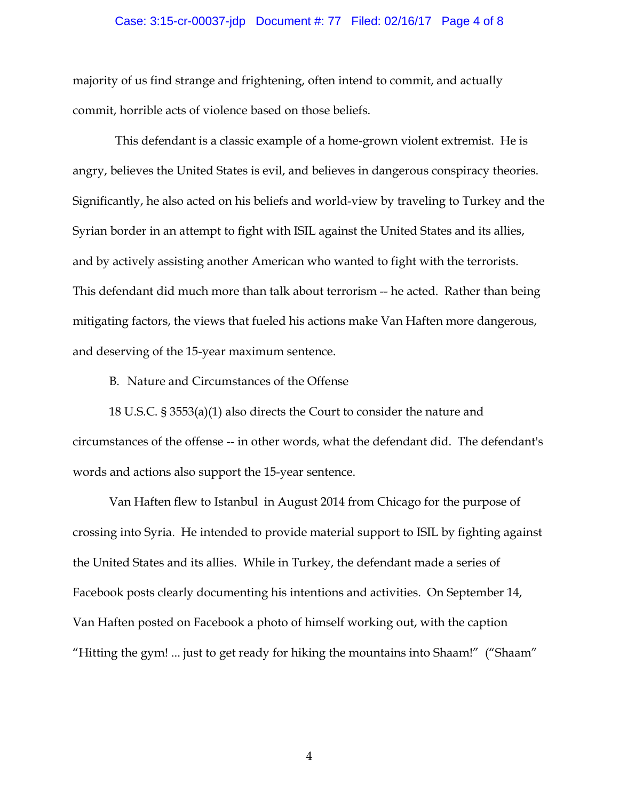#### Case: 3:15-cr-00037-jdp Document #: 77 Filed: 02/16/17 Page 4 of 8

majority of us find strange and frightening, often intend to commit, and actually commit, horrible acts of violence based on those beliefs.

 This defendant is a classic example of a home-grown violent extremist. He is angry, believes the United States is evil, and believes in dangerous conspiracy theories. Significantly, he also acted on his beliefs and world-view by traveling to Turkey and the Syrian border in an attempt to fight with ISIL against the United States and its allies, and by actively assisting another American who wanted to fight with the terrorists. This defendant did much more than talk about terrorism -- he acted. Rather than being mitigating factors, the views that fueled his actions make Van Haften more dangerous, and deserving of the 15-year maximum sentence.

B. Nature and Circumstances of the Offense

18 U.S.C. § 3553(a)(1) also directs the Court to consider the nature and circumstances of the offense -- in other words, what the defendant did. The defendant's words and actions also support the 15-year sentence.

Van Haften flew to Istanbul in August 2014 from Chicago for the purpose of crossing into Syria. He intended to provide material support to ISIL by fighting against the United States and its allies. While in Turkey, the defendant made a series of Facebook posts clearly documenting his intentions and activities. On September 14, Van Haften posted on Facebook a photo of himself working out, with the caption "Hitting the gym! ... just to get ready for hiking the mountains into Shaam!" ("Shaam"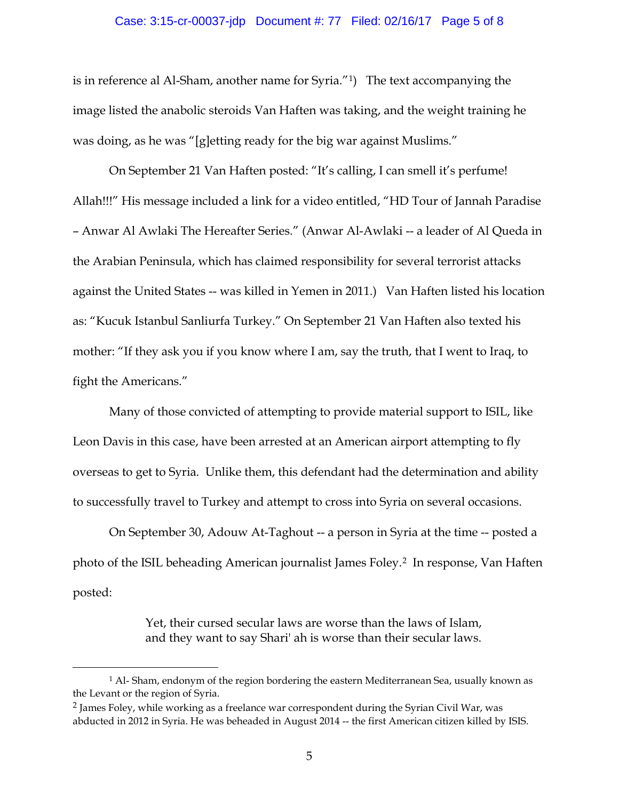#### Case: 3:15-cr-00037-jdp Document #: 77 Filed: 02/16/17 Page 5 of 8

is in reference al Al-Sham, another name for Syria."1) The text accompanying the image listed the anabolic steroids Van Haften was taking, and the weight training he was doing, as he was "[g]etting ready for the big war against Muslims."

On September 21 Van Haften posted: "It's calling, I can smell it's perfume! Allah!!!" His message included a link for a video entitled, "HD Tour of Jannah Paradise – Anwar Al Awlaki The Hereafter Series." (Anwar Al-Awlaki -- a leader of Al Queda in the Arabian Peninsula, which has claimed responsibility for several terrorist attacks against the United States -- was killed in Yemen in 2011.) Van Haften listed his location as: "Kucuk Istanbul Sanliurfa Turkey." On September 21 Van Haften also texted his mother: "If they ask you if you know where I am, say the truth, that I went to Iraq, to fight the Americans."

Many of those convicted of attempting to provide material support to ISIL, like Leon Davis in this case, have been arrested at an American airport attempting to fly overseas to get to Syria. Unlike them, this defendant had the determination and ability to successfully travel to Turkey and attempt to cross into Syria on several occasions.

On September 30, Adouw At-Taghout -- a person in Syria at the time -- posted a photo of the ISIL beheading American journalist James Foley.2 In response, Van Haften posted:

> Yet, their cursed secular laws are worse than the laws of Islam, and they want to say Shari' ah is worse than their secular laws.

 $\overline{a}$ 

<sup>1</sup> Al- Sham, endonym of the region bordering the eastern Mediterranean Sea, usually known as the Levant or the region of Syria.

<sup>2</sup> James Foley, while working as a freelance war correspondent during the Syrian Civil War, was abducted in 2012 in Syria. He was beheaded in August 2014 -- the first American citizen killed by ISIS.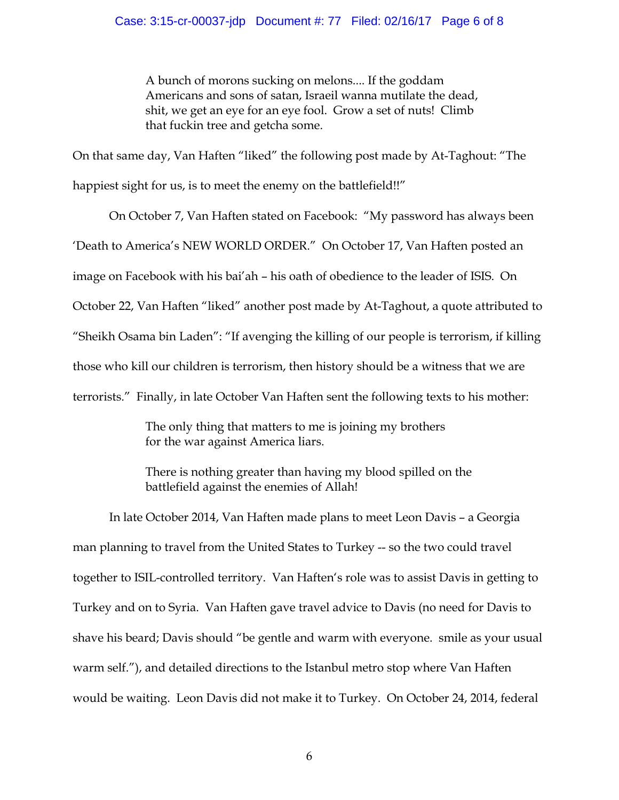A bunch of morons sucking on melons.... If the goddam Americans and sons of satan, Israeil wanna mutilate the dead, shit, we get an eye for an eye fool. Grow a set of nuts! Climb that fuckin tree and getcha some.

On that same day, Van Haften "liked" the following post made by At-Taghout: "The happiest sight for us, is to meet the enemy on the battlefield!!"

On October 7, Van Haften stated on Facebook: "My password has always been 'Death to America's NEW WORLD ORDER." On October 17, Van Haften posted an image on Facebook with his bai'ah – his oath of obedience to the leader of ISIS. On October 22, Van Haften "liked" another post made by At-Taghout, a quote attributed to "Sheikh Osama bin Laden": "If avenging the killing of our people is terrorism, if killing those who kill our children is terrorism, then history should be a witness that we are terrorists." Finally, in late October Van Haften sent the following texts to his mother:

> The only thing that matters to me is joining my brothers for the war against America liars.

There is nothing greater than having my blood spilled on the battlefield against the enemies of Allah!

In late October 2014, Van Haften made plans to meet Leon Davis – a Georgia man planning to travel from the United States to Turkey -- so the two could travel together to ISIL-controlled territory. Van Haften's role was to assist Davis in getting to Turkey and on to Syria. Van Haften gave travel advice to Davis (no need for Davis to shave his beard; Davis should "be gentle and warm with everyone. smile as your usual warm self."), and detailed directions to the Istanbul metro stop where Van Haften would be waiting. Leon Davis did not make it to Turkey. On October 24, 2014, federal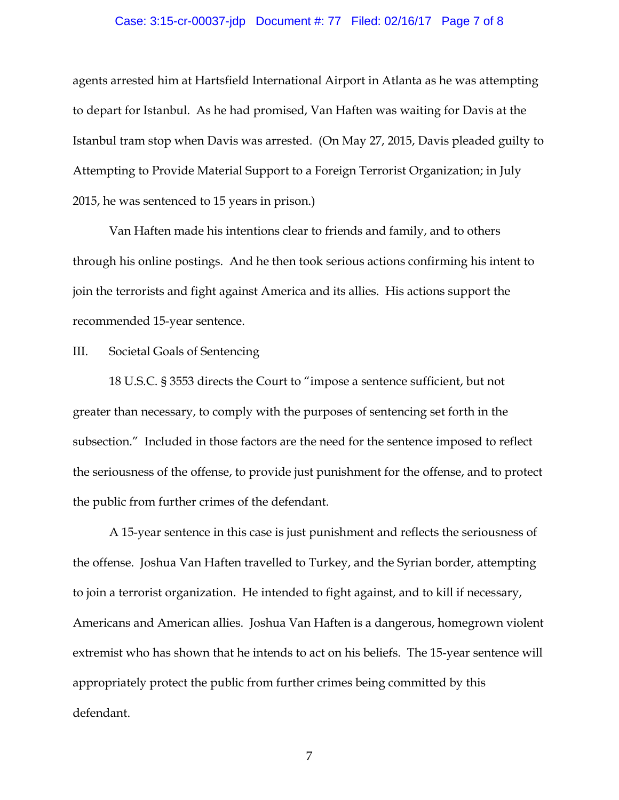#### Case: 3:15-cr-00037-jdp Document #: 77 Filed: 02/16/17 Page 7 of 8

agents arrested him at Hartsfield International Airport in Atlanta as he was attempting to depart for Istanbul. As he had promised, Van Haften was waiting for Davis at the Istanbul tram stop when Davis was arrested. (On May 27, 2015, Davis pleaded guilty to Attempting to Provide Material Support to a Foreign Terrorist Organization; in July 2015, he was sentenced to 15 years in prison.)

Van Haften made his intentions clear to friends and family, and to others through his online postings. And he then took serious actions confirming his intent to join the terrorists and fight against America and its allies. His actions support the recommended 15-year sentence.

III. Societal Goals of Sentencing

18 U.S.C. § 3553 directs the Court to "impose a sentence sufficient, but not greater than necessary, to comply with the purposes of sentencing set forth in the subsection." Included in those factors are the need for the sentence imposed to reflect the seriousness of the offense, to provide just punishment for the offense, and to protect the public from further crimes of the defendant.

A 15-year sentence in this case is just punishment and reflects the seriousness of the offense. Joshua Van Haften travelled to Turkey, and the Syrian border, attempting to join a terrorist organization. He intended to fight against, and to kill if necessary, Americans and American allies. Joshua Van Haften is a dangerous, homegrown violent extremist who has shown that he intends to act on his beliefs. The 15-year sentence will appropriately protect the public from further crimes being committed by this defendant.